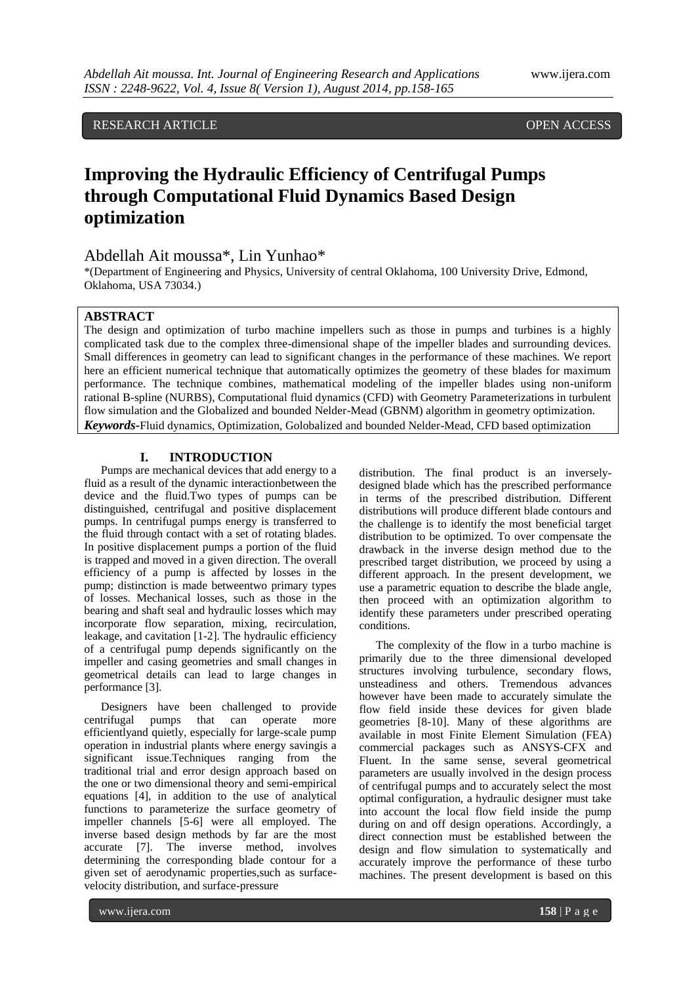RESEARCH ARTICLE **CONSERVERS** OPEN ACCESS

# **Improving the Hydraulic Efficiency of Centrifugal Pumps through Computational Fluid Dynamics Based Design optimization**

# Abdellah Ait moussa\*, Lin Yunhao\*

\*(Department of Engineering and Physics, University of central Oklahoma, 100 University Drive, Edmond, Oklahoma, USA 73034.)

# **ABSTRACT**

The design and optimization of turbo machine impellers such as those in pumps and turbines is a highly complicated task due to the complex three-dimensional shape of the impeller blades and surrounding devices. Small differences in geometry can lead to significant changes in the performance of these machines. We report here an efficient numerical technique that automatically optimizes the geometry of these blades for maximum performance. The technique combines, mathematical modeling of the impeller blades using non-uniform rational B-spline (NURBS), Computational fluid dynamics (CFD) with Geometry Parameterizations in turbulent flow simulation and the Globalized and bounded Nelder-Mead (GBNM) algorithm in geometry optimization. *Keywords***-**Fluid dynamics, Optimization, Golobalized and bounded Nelder-Mead, CFD based optimization

### **I. INTRODUCTION**

Pumps are mechanical devices that add energy to a fluid as a result of the dynamic interactionbetween the device and the fluid.Two types of pumps can be distinguished, centrifugal and positive displacement pumps. In centrifugal pumps energy is transferred to the fluid through contact with a set of rotating blades. In positive displacement pumps a portion of the fluid is trapped and moved in a given direction. The overall efficiency of a pump is affected by losses in the pump; distinction is made betweentwo primary types of losses. Mechanical losses, such as those in the bearing and shaft seal and hydraulic losses which may incorporate flow separation, mixing, recirculation, leakage, and cavitation [1-2]. The hydraulic efficiency of a centrifugal pump depends significantly on the impeller and casing geometries and small changes in geometrical details can lead to large changes in performance [3].

Designers have been challenged to provide centrifugal pumps that can operate more efficientlyand quietly, especially for large-scale pump operation in industrial plants where energy savingis a significant issue.Techniques ranging from the traditional trial and error design approach based on the one or two dimensional theory and semi-empirical equations [4], in addition to the use of analytical functions to parameterize the surface geometry of impeller channels [5-6] were all employed. The inverse based design methods by far are the most accurate [7]. The inverse method, involves determining the corresponding blade contour for a given set of aerodynamic properties,such as surfacevelocity distribution, and surface-pressure

distribution. The final product is an inverselydesigned blade which has the prescribed performance in terms of the prescribed distribution. Different distributions will produce different blade contours and the challenge is to identify the most beneficial target distribution to be optimized. To over compensate the drawback in the inverse design method due to the prescribed target distribution, we proceed by using a different approach. In the present development, we use a parametric equation to describe the blade angle, then proceed with an optimization algorithm to identify these parameters under prescribed operating conditions.

The complexity of the flow in a turbo machine is primarily due to the three dimensional developed structures involving turbulence, secondary flows, unsteadiness and others. Tremendous advances however have been made to accurately simulate the flow field inside these devices for given blade geometries [8-10]. Many of these algorithms are available in most Finite Element Simulation (FEA) commercial packages such as ANSYS-CFX and Fluent. In the same sense, several geometrical parameters are usually involved in the design process of centrifugal pumps and to accurately select the most optimal configuration, a hydraulic designer must take into account the local flow field inside the pump during on and off design operations. Accordingly, a direct connection must be established between the design and flow simulation to systematically and accurately improve the performance of these turbo machines. The present development is based on this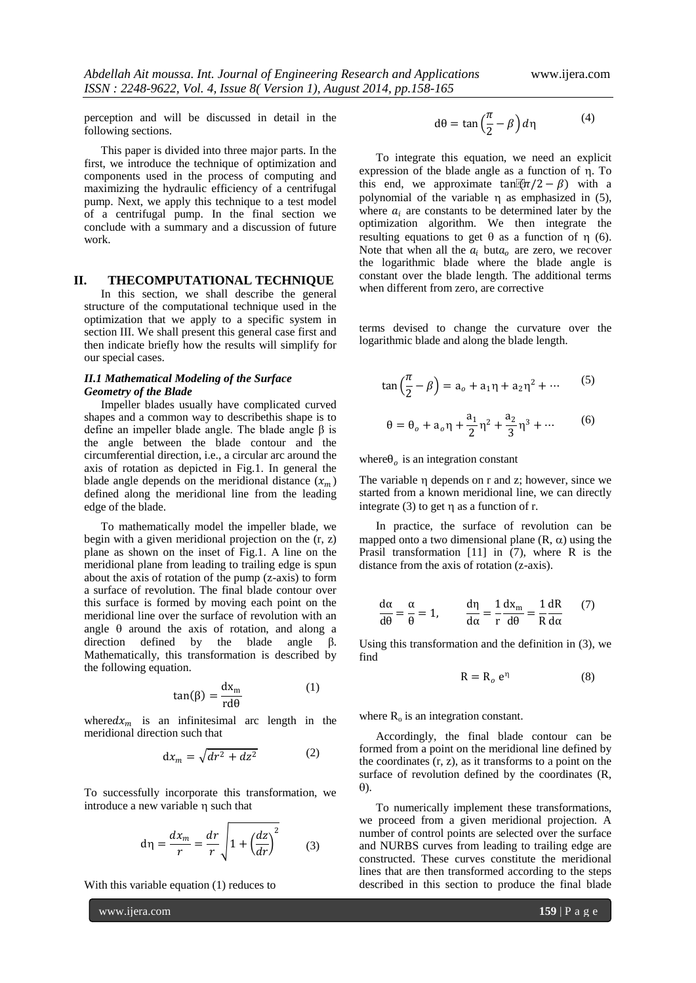perception and will be discussed in detail in the following sections.

This paper is divided into three major parts. In the first, we introduce the technique of optimization and components used in the process of computing and maximizing the hydraulic efficiency of a centrifugal pump. Next, we apply this technique to a test model of a centrifugal pump. In the final section we conclude with a summary and a discussion of future work.

### **II. THECOMPUTATIONAL TECHNIQUE**

In this section, we shall describe the general structure of the computational technique used in the optimization that we apply to a specific system in section III. We shall present this general case first and then indicate briefly how the results will simplify for our special cases.

#### *II.1 Mathematical Modeling of the Surface Geometry of the Blade*

Impeller blades usually have complicated curved shapes and a common way to describethis shape is to define an impeller blade angle. The blade angle β is the angle between the blade contour and the circumferential direction, i.e., a circular arc around the axis of rotation as depicted in Fig.1. In general the blade angle depends on the meridional distance  $(x_m)$ defined along the meridional line from the leading edge of the blade.

To mathematically model the impeller blade, we begin with a given meridional projection on the (r, z) plane as shown on the inset of Fig.1. A line on the meridional plane from leading to trailing edge is spun about the axis of rotation of the pump (z-axis) to form a surface of revolution. The final blade contour over this surface is formed by moving each point on the meridional line over the surface of revolution with an angle  $\theta$  around the axis of rotation, and along a direction defined by the blade angle β. Mathematically, this transformation is described by the following equation.

$$
\tan(\beta) = \frac{\mathrm{d}x_{\mathrm{m}}}{\mathrm{rd}\theta} \tag{1}
$$

where  $dx_m$  is an infinitesimal arc length in the meridional direction such that

$$
dx_m = \sqrt{dr^2 + dz^2} \tag{2}
$$

To successfully incorporate this transformation, we introduce a new variable n such that

$$
d\eta = \frac{dx_m}{r} = \frac{dr}{r} \sqrt{1 + \left(\frac{dz}{dr}\right)^2} \qquad (3)
$$

With this variable equation (1) reduces to

www.ijera.com **159** | P a g e

$$
d\theta = \tan\left(\frac{\pi}{2} - \beta\right) d\eta \tag{4}
$$

To integrate this equation, we need an explicit expression of the blade angle as a function of  $\eta$ . To this end, we approximate tan $\mathbb{R}(\pi/2 - \beta)$  with a polynomial of the variable  $\eta$  as emphasized in (5), where  $a_i$  are constants to be determined later by the optimization algorithm. We then integrate the resulting equations to get  $\theta$  as a function of  $\eta$  (6). Note that when all the  $a_i$  but  $a_o$  are zero, we recover the logarithmic blade where the blade angle is constant over the blade length. The additional terms when different from zero, are corrective

terms devised to change the curvature over the logarithmic blade and along the blade length.

$$
\tan\left(\frac{\pi}{2} - \beta\right) = a_o + a_1 \eta + a_2 \eta^2 + \dotsb \tag{5}
$$

$$
\theta = \theta_o + a_o \eta + \frac{a_1}{2} \eta^2 + \frac{a_2}{3} \eta^3 + \dotsb \tag{6}
$$

where  $\theta_o$  is an integration constant

The variable  $\eta$  depends on r and z; however, since we started from a known meridional line, we can directly integrate  $(3)$  to get  $\eta$  as a function of r.

In practice, the surface of revolution can be mapped onto a two dimensional plane  $(R, \alpha)$  using the Prasil transformation [11] in (7), where R is the distance from the axis of rotation (z-axis).

$$
\frac{d\alpha}{d\theta} = \frac{\alpha}{\theta} = 1, \qquad \frac{d\eta}{d\alpha} = \frac{1}{r} \frac{dx_m}{d\theta} = \frac{1}{R} \frac{dR}{d\alpha} \tag{7}
$$

Using this transformation and the definition in (3), we find

$$
R = R_o e^{\eta} \tag{8}
$$

where  $R_0$  is an integration constant.

Accordingly, the final blade contour can be formed from a point on the meridional line defined by the coordinates  $(r, z)$ , as it transforms to a point on the surface of revolution defined by the coordinates (R,  $\theta$ ).

To numerically implement these transformations, we proceed from a given meridional projection. A number of control points are selected over the surface and NURBS curves from leading to trailing edge are constructed. These curves constitute the meridional lines that are then transformed according to the steps described in this section to produce the final blade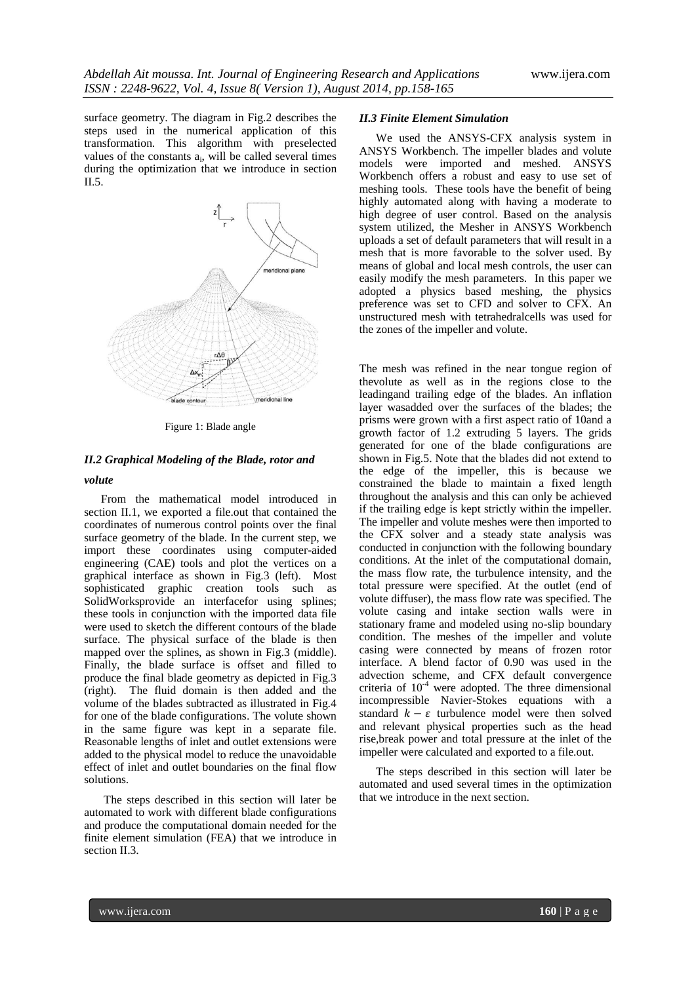surface geometry. The diagram in Fig.2 describes the steps used in the numerical application of this transformation. This algorithm with preselected values of the constants  $a_i$ , will be called several times during the optimization that we introduce in section  $II.5.$ 



Figure 1: Blade angle

### *II.2 Graphical Modeling of the Blade, rotor and*

### *volute*

From the mathematical model introduced in section II.1, we exported a file.out that contained the coordinates of numerous control points over the final surface geometry of the blade. In the current step, we import these coordinates using computer-aided engineering (CAE) tools and plot the vertices on a graphical interface as shown in Fig.3 (left). Most sophisticated graphic creation tools such as SolidWorksprovide an interfacefor using splines; these tools in conjunction with the imported data file were used to sketch the different contours of the blade surface. The physical surface of the blade is then mapped over the splines, as shown in Fig.3 (middle). Finally, the blade surface is offset and filled to produce the final blade geometry as depicted in Fig.3 (right). The fluid domain is then added and the volume of the blades subtracted as illustrated in Fig.4 for one of the blade configurations. The volute shown in the same figure was kept in a separate file. Reasonable lengths of inlet and outlet extensions were added to the physical model to reduce the unavoidable effect of inlet and outlet boundaries on the final flow solutions.

The steps described in this section will later be automated to work with different blade configurations and produce the computational domain needed for the finite element simulation (FEA) that we introduce in section II.3.

#### *II.3 Finite Element Simulation*

We used the ANSYS-CFX analysis system in ANSYS Workbench. The impeller blades and volute models were imported and meshed. ANSYS Workbench offers a robust and easy to use set of meshing tools. These tools have the benefit of being highly automated along with having a moderate to high degree of user control. Based on the analysis system utilized, the Mesher in ANSYS Workbench uploads a set of default parameters that will result in a mesh that is more favorable to the solver used. By means of global and local mesh controls, the user can easily modify the mesh parameters. In this paper we adopted a physics based meshing, the physics preference was set to CFD and solver to CFX. An unstructured mesh with tetrahedralcells was used for the zones of the impeller and volute.

The mesh was refined in the near tongue region of thevolute as well as in the regions close to the leadingand trailing edge of the blades. An inflation layer wasadded over the surfaces of the blades; the prisms were grown with a first aspect ratio of 10and a growth factor of 1.2 extruding 5 layers. The grids generated for one of the blade configurations are shown in Fig.5. Note that the blades did not extend to the edge of the impeller, this is because we constrained the blade to maintain a fixed length throughout the analysis and this can only be achieved if the trailing edge is kept strictly within the impeller. The impeller and volute meshes were then imported to the CFX solver and a steady state analysis was conducted in conjunction with the following boundary conditions. At the inlet of the computational domain, the mass flow rate, the turbulence intensity, and the total pressure were specified. At the outlet (end of volute diffuser), the mass flow rate was specified. The volute casing and intake section walls were in stationary frame and modeled using no-slip boundary condition. The meshes of the impeller and volute casing were connected by means of frozen rotor interface. A blend factor of 0.90 was used in the advection scheme, and CFX default convergence criteria of  $10^{-4}$  were adopted. The three dimensional incompressible Navier-Stokes equations with a standard  $k - \varepsilon$  turbulence model were then solved and relevant physical properties such as the head rise,break power and total pressure at the inlet of the impeller were calculated and exported to a file.out.

The steps described in this section will later be automated and used several times in the optimization that we introduce in the next section.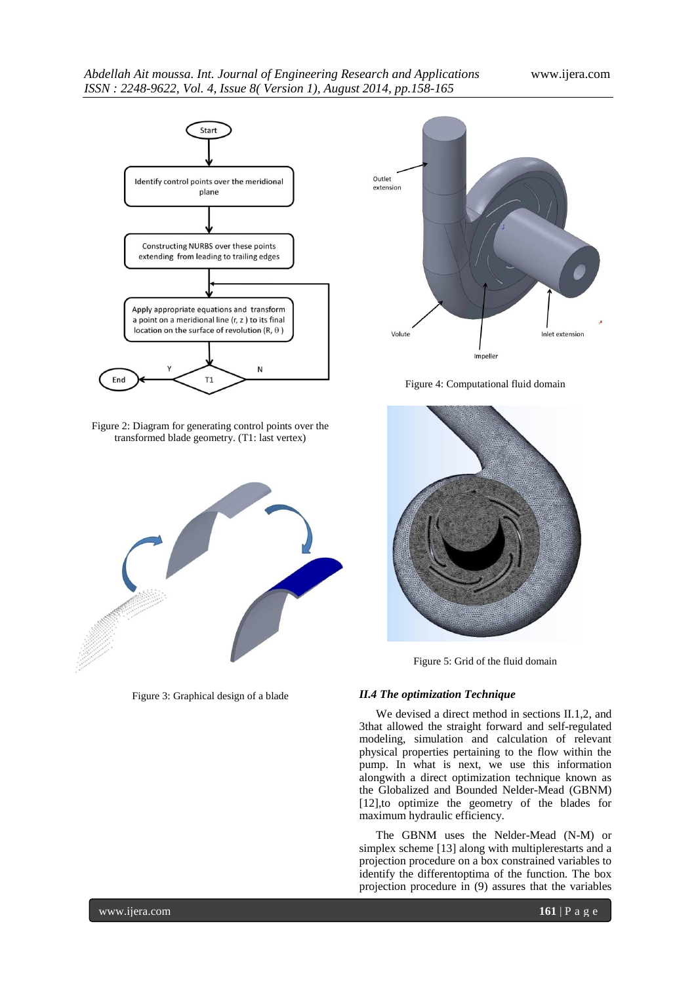### *Abdellah Ait moussa. Int. Journal of Engineering Research and Applications* www.ijera.com *ISSN : 2248-9622, Vol. 4, Issue 8( Version 1), August 2014, pp.158-165*



Figure 2: Diagram for generating control points over the transformed blade geometry. (T1: last vertex)



Figure 3: Graphical design of a blade



Figure 4: Computational fluid domain



Figure 5: Grid of the fluid domain

# *II.4 The optimization Technique*

We devised a direct method in sections II.1,2, and 3that allowed the straight forward and self-regulated modeling, simulation and calculation of relevant physical properties pertaining to the flow within the pump. In what is next, we use this information alongwith a direct optimization technique known as the Globalized and Bounded Nelder-Mead (GBNM) [12],to optimize the geometry of the blades for maximum hydraulic efficiency.

The GBNM uses the Nelder-Mead (N-M) or simplex scheme [13] along with multiplerestarts and a projection procedure on a box constrained variables to identify the differentoptima of the function. The box projection procedure in (9) assures that the variables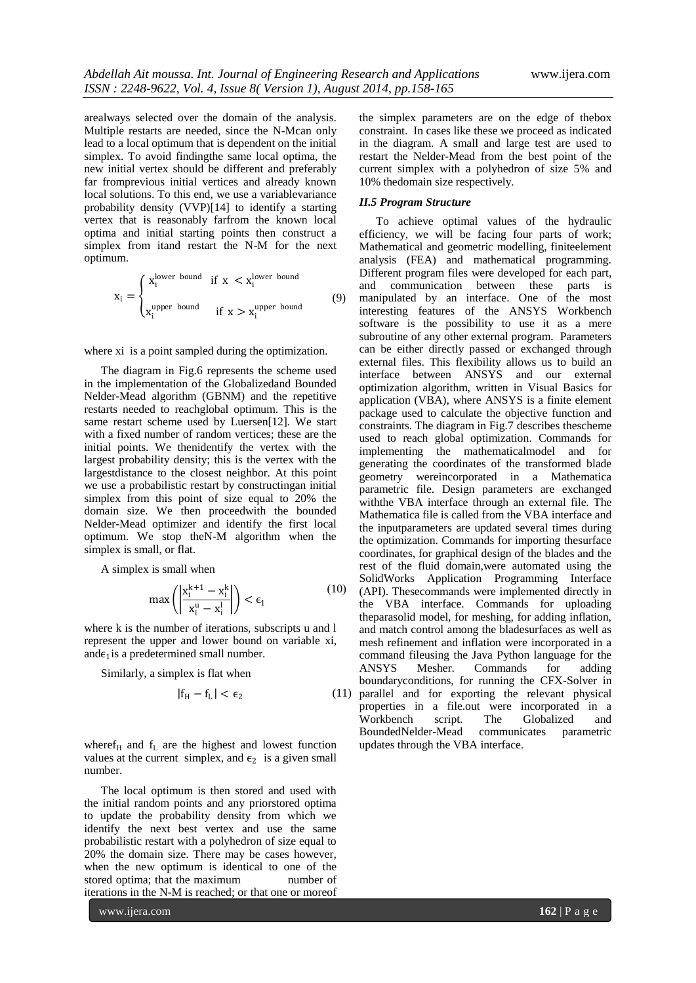arealways selected over the domain of the analysis. Multiple restarts are needed, since the N-Mcan only lead to a local optimum that is dependent on the initial simplex. To avoid findingthe same local optima, the new initial vertex should be different and preferably far fromprevious initial vertices and already known local solutions. To this end, we use a variablevariance probability density (VVP)[14] to identify a starting vertex that is reasonably farfrom the known local optima and initial starting points then construct a simplex from itand restart the N-M for the next optimum.

$$
x_i = \begin{cases} x_i^{\text{lower bound}} & \text{if } x < x_i^{\text{lower bound}} \\ x_i^{\text{upper bound}} & \text{if } x > x_i^{\text{upper bound}} \end{cases} \tag{9}
$$

where xi is a point sampled during the optimization.

The diagram in Fig.6 represents the scheme used in the implementation of the Globalizedand Bounded Nelder-Mead algorithm (GBNM) and the repetitive restarts needed to reachglobal optimum. This is the same restart scheme used by Luersen[12]. We start with a fixed number of random vertices; these are the initial points. We thenidentify the vertex with the largest probability density; this is the vertex with the largestdistance to the closest neighbor. At this point we use a probabilistic restart by constructingan initial simplex from this point of size equal to 20% the domain size. We then proceedwith the bounded Nelder-Mead optimizer and identify the first local optimum. We stop theN-M algorithm when the simplex is small, or flat.

A simplex is small when

$$
\max\left(\left|\frac{\mathbf{x}_i^{k+1} - \mathbf{x}_i^k}{\mathbf{x}_i^u - \mathbf{x}_i^l}\right|\right) < \epsilon_1 \tag{10}
$$

where k is the number of iterations, subscripts u and l represent the upper and lower bound on variable xi, and $\epsilon_1$  is a predetermined small number.

Similarly, a simplex is flat when

$$
|f_H - f_L| < \epsilon_2 \tag{11}
$$

where  $f_H$  and  $f_L$  are the highest and lowest function values at the current simplex, and  $\epsilon_2$  is a given small number.

The local optimum is then stored and used with the initial random points and any priorstored optima to update the probability density from which we identify the next best vertex and use the same probabilistic restart with a polyhedron of size equal to 20% the domain size. There may be cases however, when the new optimum is identical to one of the stored optima; that the maximum number of iterations in the N-M is reached; or that one or moreof

the simplex parameters are on the edge of thebox constraint. In cases like these we proceed as indicated in the diagram. A small and large test are used to restart the Nelder-Mead from the best point of the current simplex with a polyhedron of size 5% and 10% thedomain size respectively.

#### *II.5 Program Structure*

To achieve optimal values of the hydraulic efficiency, we will be facing four parts of work; Mathematical and geometric modelling, finiteelement analysis (FEA) and mathematical programming. Different program files were developed for each part, and communication between these parts is manipulated by an interface. One of the most interesting features of the ANSYS Workbench software is the possibility to use it as a mere subroutine of any other external program. Parameters can be either directly passed or exchanged through external files. This flexibility allows us to build an interface between ANSYS and our external optimization algorithm, written in Visual Basics for application (VBA), where ANSYS is a finite element package used to calculate the objective function and constraints. The diagram in Fig.7 describes thescheme used to reach global optimization. Commands for implementing the mathematicalmodel and for generating the coordinates of the transformed blade geometry wereincorporated in a Mathematica parametric file. Design parameters are exchanged withthe VBA interface through an external file. The Mathematica file is called from the VBA interface and the inputparameters are updated several times during the optimization. Commands for importing thesurface coordinates, for graphical design of the blades and the rest of the fluid domain,were automated using the SolidWorks Application Programming Interface (API). Thesecommands were implemented directly in the VBA interface. Commands for uploading theparasolid model, for meshing, for adding inflation, and match control among the bladesurfaces as well as mesh refinement and inflation were incorporated in a command fileusing the Java Python language for the ANSYS Mesher. Commands for adding boundaryconditions, for running the CFX-Solver in parallel and for exporting the relevant physical properties in a file.out were incorporated in a Workbench script. The Globalized and BoundedNelder-Mead communicates parametric updates through the VBA interface.

www.ijera.com **162** | P a g e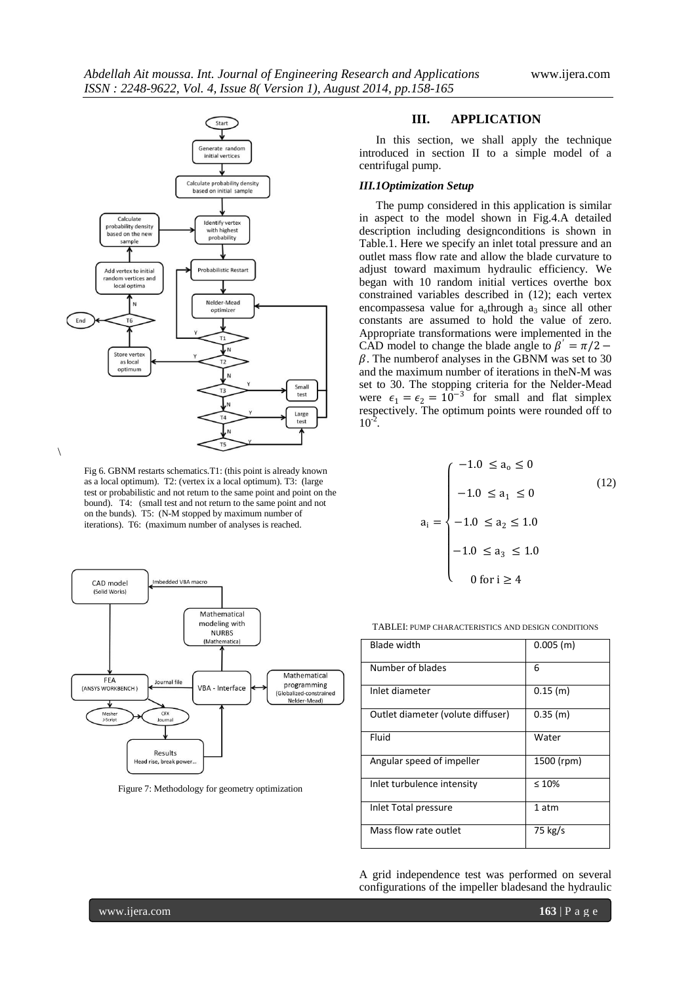

Fig 6. GBNM restarts schematics.T1: (this point is already known as a local optimum). T2: (vertex ix a local optimum). T3: (large test or probabilistic and not return to the same point and point on the bound). T4: (small test and not return to the same point and not on the bunds). T5: (N-M stopped by maximum number of iterations). T6: (maximum number of analyses is reached.



Figure 7: Methodology for geometry optimization

### **III. APPLICATION**

In this section, we shall apply the technique introduced in section II to a simple model of a centrifugal pump.

### *III.1Optimization Setup*

The pump considered in this application is similar in aspect to the model shown in Fig.4.A detailed description including designconditions is shown in Table.1. Here we specify an inlet total pressure and an outlet mass flow rate and allow the blade curvature to adjust toward maximum hydraulic efficiency. We began with 10 random initial vertices overthe box constrained variables described in (12); each vertex encompassesa value for  $a_0$ through  $a_3$  since all other constants are assumed to hold the value of zero. Appropriate transformations were implemented in the CAD model to change the blade angle to  $\beta' = \pi/2 \beta$ . The numberof analyses in the GBNM was set to 30 and the maximum number of iterations in theN-M was set to 30. The stopping criteria for the Nelder-Mead were  $\epsilon_1 = \epsilon_2 = 10^{-3}$  for small and flat simplex respectively. The optimum points were rounded off to  $10^{-2}$ .

$$
a_{i} = \begin{cases}\n-1.0 \le a_{o} \le 0 \\
-1.0 \le a_{1} \le 0 \\
-1.0 \le a_{2} \le 1.0 \\
-1.0 \le a_{3} \le 1.0 \\
0 \text{ for } i \ge 4\n\end{cases}
$$
\n(12)

TABLEI: PUMP CHARACTERISTICS AND DESIGN CONDITIONS

| Blade width                       | $0.005$ (m) |
|-----------------------------------|-------------|
| Number of blades                  | 6           |
| Inlet diameter                    | $0.15$ (m)  |
| Outlet diameter (volute diffuser) | $0.35$ (m)  |
| Fluid                             | Water       |
| Angular speed of impeller         | 1500 (rpm)  |
| Inlet turbulence intensity        | $\leq 10\%$ |
| Inlet Total pressure              | 1 atm       |
| Mass flow rate outlet             | 75 kg/s     |

A grid independence test was performed on several configurations of the impeller bladesand the hydraulic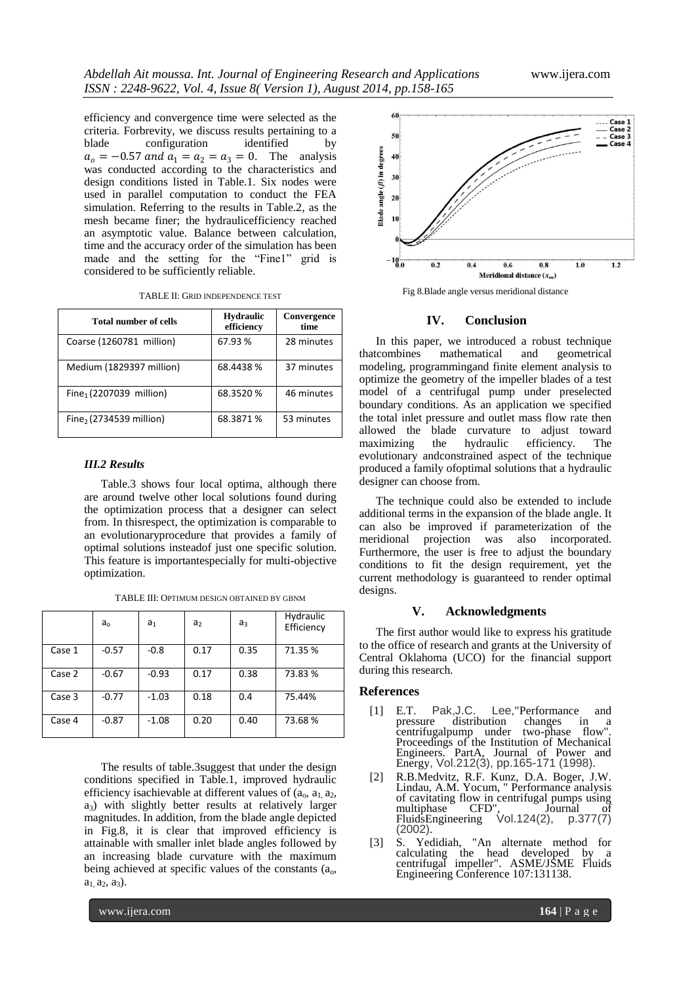efficiency and convergence time were selected as the criteria. Forbrevity, we discuss results pertaining to a blade configuration identified by  $a_0 = -0.57$  and  $a_1 = a_2 = a_3 = 0$ . The analysis was conducted according to the characteristics and design conditions listed in Table.1. Six nodes were used in parallel computation to conduct the FEA simulation. Referring to the results in Table.2, as the mesh became finer; the hydraulicefficiency reached an asymptotic value. Balance between calculation, time and the accuracy order of the simulation has been made and the setting for the "Fine1" grid is considered to be sufficiently reliable.

|  |  |  |  |  | TABLE II: GRID INDEPENDENCE TEST |  |
|--|--|--|--|--|----------------------------------|--|
|--|--|--|--|--|----------------------------------|--|

| Total number of cells               | <b>Hydraulic</b><br>efficiency | Convergence<br>time |  |
|-------------------------------------|--------------------------------|---------------------|--|
| Coarse (1260781 million)            | 67.93 %                        | 28 minutes          |  |
| Medium (1829397 million)            | 68.4438 %                      | 37 minutes          |  |
| Fine <sub>1</sub> (2207039 million) | 68.3520 %                      | 46 minutes          |  |
| Fine, $(2734539$ million)           | 68.3871 %                      | 53 minutes          |  |

#### *III.2 Results*

Table.3 shows four local optima, although there are around twelve other local solutions found during the optimization process that a designer can select from. In thisrespect, the optimization is comparable to an evolutionaryprocedure that provides a family of optimal solutions insteadof just one specific solution. This feature is importantespecially for multi-objective optimization.

|        | $a_{o}$ | a <sub>1</sub> | a <sub>2</sub> | $a_3$ | Hydraulic<br>Efficiency |
|--------|---------|----------------|----------------|-------|-------------------------|
| Case 1 | $-0.57$ | $-0.8$         | 0.17           | 0.35  | 71.35 %                 |
| Case 2 | $-0.67$ | $-0.93$        | 0.17           | 0.38  | 73.83 %                 |
| Case 3 | $-0.77$ | $-1.03$        | 0.18           | 0.4   | 75.44%                  |
| Case 4 | $-0.87$ | $-1.08$        | 0.20           | 0.40  | 73.68%                  |

TABLE III: OPTIMUM DESIGN OBTAINED BY GBNM

The results of table.3suggest that under the design conditions specified in Table.1, improved hydraulic efficiency isachievable at different values of  $(a_0, a_1, a_2, a_3)$  $a_3$ ) with slightly better results at relatively larger magnitudes. In addition, from the blade angle depicted in Fig.8, it is clear that improved efficiency is attainable with smaller inlet blade angles followed by an increasing blade curvature with the maximum being achieved at specific values of the constants  $(a_0, a_1)$  $a_1$ ,  $a_2$ ,  $a_3$ ).



Fig 8.Blade angle versus meridional distance

#### **IV. Conclusion**

In this paper, we introduced a robust technique that<br>combines mathematical and geometrical mathematical and geometrical modeling, programmingand finite element analysis to optimize the geometry of the impeller blades of a test model of a centrifugal pump under preselected boundary conditions. As an application we specified the total inlet pressure and outlet mass flow rate then allowed the blade curvature to adjust toward<br>maximizing the hydraulic efficiency. The maximizing the hydraulic efficiency. The evolutionary andconstrained aspect of the technique produced a family ofoptimal solutions that a hydraulic designer can choose from.

The technique could also be extended to include additional terms in the expansion of the blade angle. It can also be improved if parameterization of the meridional projection was also incorporated. Furthermore, the user is free to adjust the boundary conditions to fit the design requirement, yet the current methodology is guaranteed to render optimal designs.

### **V. Acknowledgments**

The first author would like to express his gratitude to the office of research and grants at the University of Central Oklahoma (UCO) for the financial support during this research.

### **References**

- [1] E.T. Pak,J.C. Lee,"Performance and pressure distribution changes in a centrifugalpump under two-phase flow". Proceedings of the Institution of Mechanical Engineers. PartA, Journal of Power and Energy, Vol.212(3), pp.165-171 (1998).
- [2] R.B.Medvitz, R.F. Kunz, D.A. Boger, J.W. Lindau, A.M. Yocum, " Performance analysis of cavitating flow in centrifugal pumps using<br>multiphase CFD", Journal of multiphase CFD", Journal of FluidsEngineering Vol.124(2), p.377(7) (2002).
- [3] S. Yedidiah, "An alternate method for calculating the head developed by a centrifugal impeller". ASME/JSME Fluids Engineering Conference 107:131138.